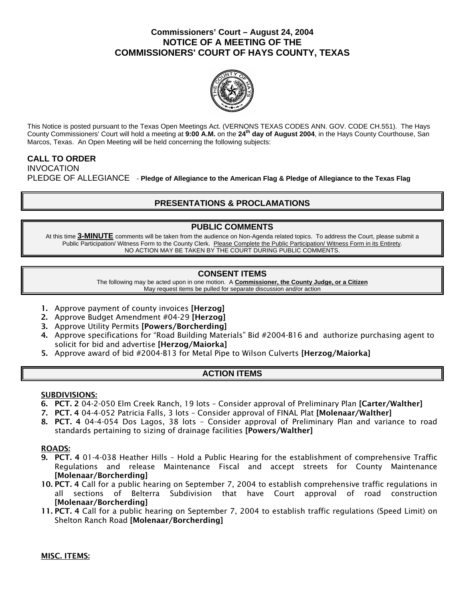## **Commissioners' Court – August 24, 2004 NOTICE OF A MEETING OF THE COMMISSIONERS' COURT OF HAYS COUNTY, TEXAS**



This Notice is posted pursuant to the Texas Open Meetings Act. (VERNONS TEXAS CODES ANN. GOV. CODE CH.551). The Hays County Commissioners' Court will hold a meeting at **9:00 A.M.** on the **24th day of August 2004**, in the Hays County Courthouse, San Marcos, Texas. An Open Meeting will be held concerning the following subjects:

#### **CALL TO ORDER**  INVOCATION

PLEDGE OF ALLEGIANCE - **Pledge of Allegiance to the American Flag & Pledge of Allegiance to the Texas Flag** 

# **PRESENTATIONS & PROCLAMATIONS**

## **PUBLIC COMMENTS**

At this time **3-MINUTE** comments will be taken from the audience on Non-Agenda related topics. To address the Court, please submit a Public Participation/ Witness Form to the County Clerk. Please Complete the Public Participation/ Witness Form in its Entirety. NO ACTION MAY BE TAKEN BY THE COURT DURING PUBLIC COMMENTS.

### **CONSENT ITEMS**

The following may be acted upon in one motion. A **Commissioner, the County Judge, or a Citizen** May request items be pulled for separate discussion and/or action

- 1. Approve payment of county invoices [Herzog]
- 2. Approve Budget Amendment #04-29 [Herzog]
- 3. Approve Utility Permits [Powers/Borcherding]
- 4. Approve specifications for "Road Building Materials" Bid #2004-B16 and authorize purchasing agent to solicit for bid and advertise [Herzog/Maiorka]
- 5. Approve award of bid #2004-B13 for Metal Pipe to Wilson Culverts [Herzog/Maiorka]

### **ACTION ITEMS**

### SUBDIVISIONS:

- 6. PCT. 2 04-2-050 Elm Creek Ranch, 19 lots Consider approval of Preliminary Plan [Carter/Walther]
- 7. PCT. 4 04-4-052 Patricia Falls, 3 lots Consider approval of FINAL Plat [Molenaar/Walther]
- 8. PCT. 4 04-4-054 Dos Lagos, 38 lots Consider approval of Preliminary Plan and variance to road standards pertaining to sizing of drainage facilities [Powers/Walther]

#### ROADS:

- 9. PCT. 4 01-4-038 Heather Hills Hold a Public Hearing for the establishment of comprehensive Traffic Regulations and release Maintenance Fiscal and accept streets for County Maintenance [Molenaar/Borcherding]
- 10. PCT. 4 Call for a public hearing on September 7, 2004 to establish comprehensive traffic regulations in all sections of Belterra Subdivision that have Court approval of road construction [Molenaar/Borcherding]
- 11. PCT. 4 Call for a public hearing on September 7, 2004 to establish traffic regulations (Speed Limit) on Shelton Ranch Road [Molenaar/Borcherding]